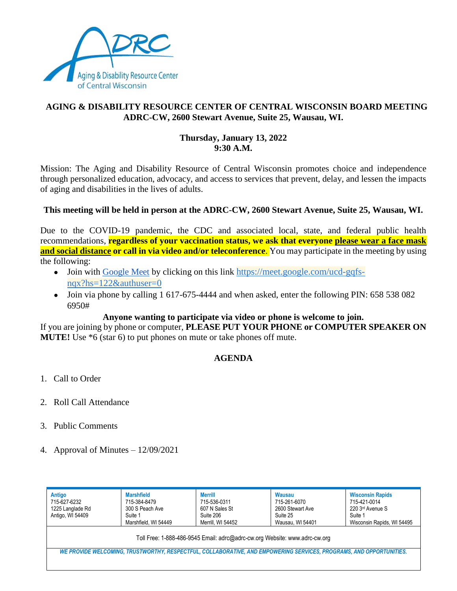

# **AGING & DISABILITY RESOURCE CENTER OF CENTRAL WISCONSIN BOARD MEETING ADRC-CW, 2600 Stewart Avenue, Suite 25, Wausau, WI.**

### **Thursday, January 13, 2022 9:30 A.M.**

Mission: The Aging and Disability Resource of Central Wisconsin promotes choice and independence through personalized education, advocacy, and access to services that prevent, delay, and lessen the impacts of aging and disabilities in the lives of adults.

## **This meeting will be held in person at the ADRC-CW, 2600 Stewart Avenue, Suite 25, Wausau, WI.**

Due to the COVID-19 pandemic, the CDC and associated local, state, and federal public health recommendations, **regardless of your vaccination status, we ask that everyone please wear a face mask and social distance or call in via video and/or teleconference.** You may participate in the meeting by using the following:

- Join with [Google Meet](https://meet.google.com/ucd-gqfs-nqx?hs=122&authuser=0) by clicking on this link [https://meet.google.com/ucd-gqfs](https://meet.google.com/ucd-gqfs-nqx?hs=122&authuser=0)[nqx?hs=122&authuser=0](https://meet.google.com/ucd-gqfs-nqx?hs=122&authuser=0)
- Join via phone by calling 1 617-675-4444 and when asked, enter the following PIN: 658 538 082 6950#

### **Anyone wanting to participate via video or phone is welcome to join.**

If you are joining by phone or computer, **PLEASE PUT YOUR PHONE or COMPUTER SPEAKER ON MUTE!** Use  $*6$  (star 6) to put phones on mute or take phones off mute.

### **AGENDA**

- 1. Call to Order
- 2. Roll Call Attendance
- 3. Public Comments
- 4. Approval of Minutes 12/09/2021

| Antigo<br>715-627-6232<br>1225 Langlade Rd<br>Antigo, WI 54409                                                      | <b>Marshfield</b><br>715-384-8479<br>300 S Peach Ave<br>Suite 1<br>Marshfield, WI 54449 | Merrill<br>715-536-0311<br>607 N Sales St<br>Suite 206<br>Merrill. WI 54452 | Wausau<br>715-261-6070<br>2600 Stewart Ave<br>Suite 25<br>Wausau, WI 54401 | <b>Wisconsin Rapids</b><br>715-421-0014<br>220 3rd Avenue S<br>Suite 1<br>Wisconsin Rapids, WI 54495 |  |  |  |
|---------------------------------------------------------------------------------------------------------------------|-----------------------------------------------------------------------------------------|-----------------------------------------------------------------------------|----------------------------------------------------------------------------|------------------------------------------------------------------------------------------------------|--|--|--|
| Toll Free: 1-888-486-9545 Email: adrc@adrc-cw.org Website: www.adrc-cw.org                                          |                                                                                         |                                                                             |                                                                            |                                                                                                      |  |  |  |
| WE PROVIDE WELCOMING, TRUSTWORTHY, RESPECTFUL, COLLABORATIVE, AND EMPOWERING SERVICES, PROGRAMS, AND OPPORTUNITIES. |                                                                                         |                                                                             |                                                                            |                                                                                                      |  |  |  |